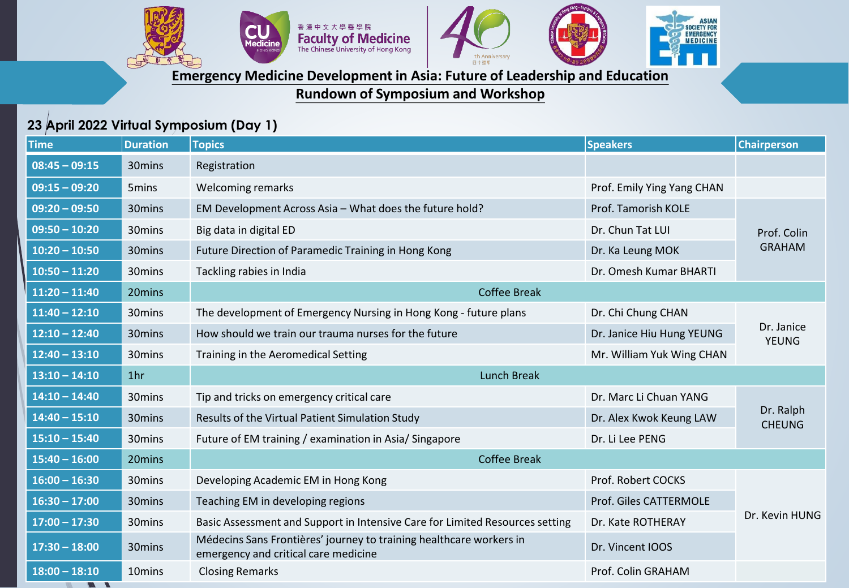



**SIAN** 

SOCIETY FOR<br>EMERGENCY<br>MEDICINE

## **Emergency Medicine Development in Asia: Future of Leadership and Education**

**Rundown of Symposium and Workshop**

## **23 April 2022 Virtual Symposium (Day 1)**

| <b>Time</b>              | <b>Duration</b>    | <b>Topics</b>                                                                                               | <b>Speakers</b>            | <b>Chairperson</b>         |
|--------------------------|--------------------|-------------------------------------------------------------------------------------------------------------|----------------------------|----------------------------|
| $08:45 - 09:15$          | 30mins             | Registration                                                                                                |                            |                            |
| $\overline{09:15-09:20}$ | 5mins              | <b>Welcoming remarks</b>                                                                                    | Prof. Emily Ying Yang CHAN |                            |
| $09:20 - 09:50$          | 30mins             | EM Development Across Asia - What does the future hold?                                                     | Prof. Tamorish KOLE        |                            |
| $09:50 - 10:20$          | 30mins             | Big data in digital ED                                                                                      | Dr. Chun Tat LUI           | Prof. Colin                |
| $10:20 - 10:50$          | 30mins             | Future Direction of Paramedic Training in Hong Kong                                                         | Dr. Ka Leung MOK           | <b>GRAHAM</b>              |
| $10:50 - 11:20$          | 30mins             | Tackling rabies in India                                                                                    | Dr. Omesh Kumar BHARTI     |                            |
| $11:20 - 11:40$          | 20mins             | <b>Coffee Break</b>                                                                                         |                            |                            |
| $11:40 - 12:10$          | 30mins             | The development of Emergency Nursing in Hong Kong - future plans                                            | Dr. Chi Chung CHAN         |                            |
| $12:10 - 12:40$          | 30mins             | How should we train our trauma nurses for the future                                                        | Dr. Janice Hiu Hung YEUNG  | Dr. Janice<br><b>YEUNG</b> |
| $12:40 - 13:10$          | 30mins             | Training in the Aeromedical Setting                                                                         | Mr. William Yuk Wing CHAN  |                            |
| $13:10 - 14:10$          | 1 <sub>hr</sub>    | <b>Lunch Break</b>                                                                                          |                            |                            |
| $14:10 - 14:40$          | 30mins             | Tip and tricks on emergency critical care                                                                   | Dr. Marc Li Chuan YANG     | Dr. Ralph<br><b>CHEUNG</b> |
| $14:40 - 15:10$          | 30mins             | Results of the Virtual Patient Simulation Study                                                             | Dr. Alex Kwok Keung LAW    |                            |
| $15:10 - 15:40$          | 30mins             | Future of EM training / examination in Asia/ Singapore                                                      | Dr. Li Lee PENG            |                            |
| $15:40 - 16:00$          | 20mins             | <b>Coffee Break</b>                                                                                         |                            |                            |
| $16:00 - 16:30$          | 30mins             | Developing Academic EM in Hong Kong                                                                         | Prof. Robert COCKS         |                            |
| $16:30 - 17:00$          | 30mins             | Teaching EM in developing regions                                                                           | Prof. Giles CATTERMOLE     |                            |
| $17:00 - 17:30$          | 30 <sub>mins</sub> | Basic Assessment and Support in Intensive Care for Limited Resources setting                                | Dr. Kate ROTHERAY          | Dr. Kevin HUNG             |
| $17:30 - 18:00$          | 30mins             | Médecins Sans Frontières' journey to training healthcare workers in<br>emergency and critical care medicine | Dr. Vincent IOOS           |                            |
| $18:00 - 18:10$          | 10 <sub>mins</sub> | <b>Closing Remarks</b>                                                                                      | Prof. Colin GRAHAM         |                            |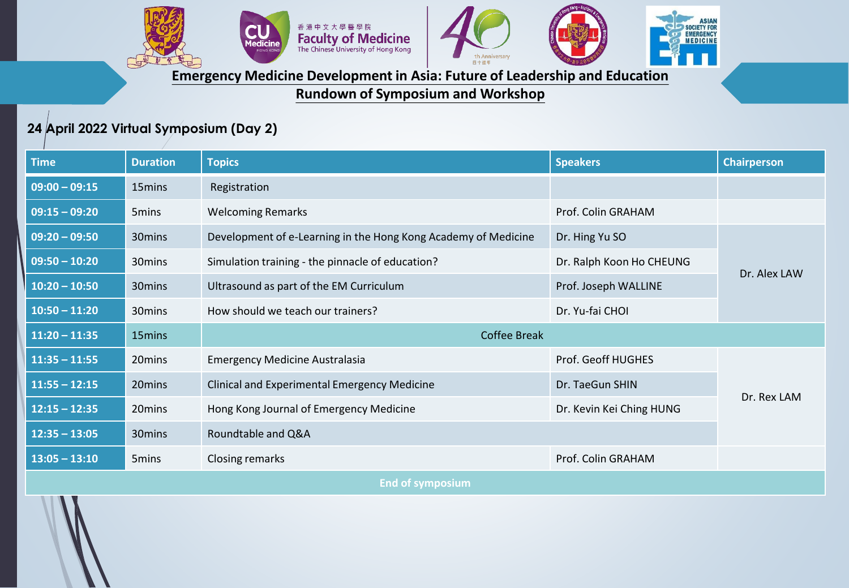



**SIAN** 

SOCIETY FOR<br>EMERGENCY<br>MEDICINE

**Emergency Medicine Development in Asia: Future of Leadership and Education**

**Rundown of Symposium and Workshop**

## **24 April 2022 Virtual Symposium (Day 2)**

| <b>Time</b>             | <b>Duration</b>    | <b>Topics</b>                                                  | <b>Speakers</b>           | <b>Chairperson</b> |  |  |  |
|-------------------------|--------------------|----------------------------------------------------------------|---------------------------|--------------------|--|--|--|
| $09:00 - 09:15$         | 15mins             | Registration                                                   |                           |                    |  |  |  |
| $09:15 - 09:20$         | 5mins              | <b>Welcoming Remarks</b>                                       | Prof. Colin GRAHAM        |                    |  |  |  |
| $09:20 - 09:50$         | 30mins             | Development of e-Learning in the Hong Kong Academy of Medicine | Dr. Hing Yu SO            |                    |  |  |  |
| $09:50 - 10:20$         | 30mins             | Simulation training - the pinnacle of education?               | Dr. Ralph Koon Ho CHEUNG  | Dr. Alex LAW       |  |  |  |
| $10:20 - 10:50$         | 30mins             | Ultrasound as part of the EM Curriculum                        | Prof. Joseph WALLINE      |                    |  |  |  |
| $10:50 - 11:20$         | 30 <sub>mins</sub> | How should we teach our trainers?                              | Dr. Yu-fai CHOI           |                    |  |  |  |
| $11:20 - 11:35$         | 15mins             | <b>Coffee Break</b>                                            |                           |                    |  |  |  |
| $11:35 - 11:55$         | 20mins             | <b>Emergency Medicine Australasia</b>                          | <b>Prof. Geoff HUGHES</b> |                    |  |  |  |
| $11:55 - 12:15$         | 20mins             | Clinical and Experimental Emergency Medicine                   | Dr. TaeGun SHIN           |                    |  |  |  |
| $12:15 - 12:35$         | 20 mins            | Hong Kong Journal of Emergency Medicine                        | Dr. Kevin Kei Ching HUNG  | Dr. Rex LAM        |  |  |  |
| $12:35 - 13:05$         | 30 <sub>mins</sub> | Roundtable and Q&A                                             |                           |                    |  |  |  |
| $13:05 - 13:10$         | 5 <sub>mins</sub>  | Closing remarks                                                | Prof. Colin GRAHAM        |                    |  |  |  |
| <b>End of symposium</b> |                    |                                                                |                           |                    |  |  |  |